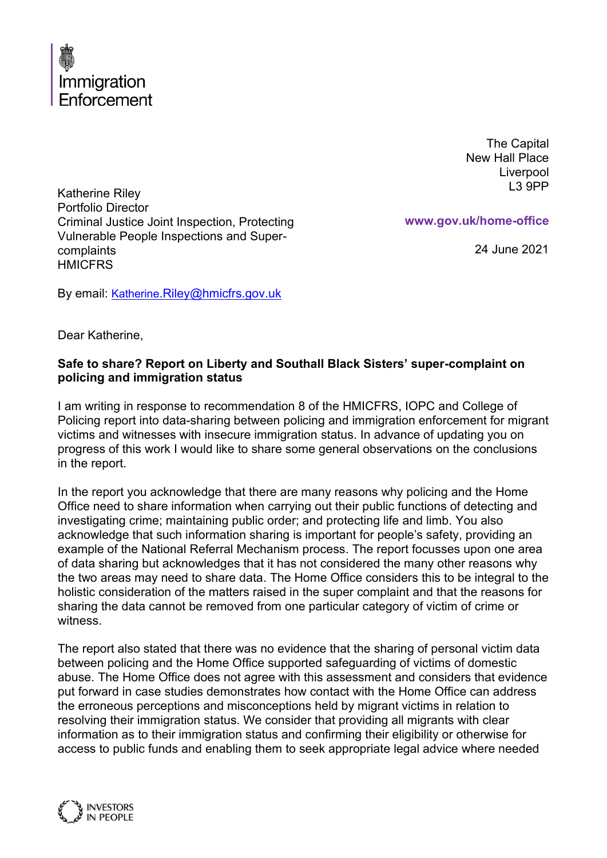

The Capital New Hall Place Liverpool L3 9PP

Katherine Riley Portfolio Director Criminal Justice Joint Inspection, Protecting Vulnerable People Inspections and Supercomplaints **HMICFRS** 

**www.gov.uk/home-office**

24 June 2021

By email: Katherine[.Riley@hmicfrs.gov.uk](mailto:Katherine.Riley@hmicfrs.gov.uk)

Dear Katherine,

# **Safe to share? Report on Liberty and Southall Black Sisters' super-complaint on policing and immigration status**

I am writing in response to recommendation 8 of the HMICFRS, IOPC and College of Policing report into data-sharing between policing and immigration enforcement for migrant victims and witnesses with insecure immigration status. In advance of updating you on progress of this work I would like to share some general observations on the conclusions in the report.

In the report you acknowledge that there are many reasons why policing and the Home Office need to share information when carrying out their public functions of detecting and investigating crime; maintaining public order; and protecting life and limb. You also acknowledge that such information sharing is important for people's safety, providing an example of the National Referral Mechanism process. The report focusses upon one area of data sharing but acknowledges that it has not considered the many other reasons why the two areas may need to share data. The Home Office considers this to be integral to the holistic consideration of the matters raised in the super complaint and that the reasons for sharing the data cannot be removed from one particular category of victim of crime or witness.

The report also stated that there was no evidence that the sharing of personal victim data between policing and the Home Office supported safeguarding of victims of domestic abuse. The Home Office does not agree with this assessment and considers that evidence put forward in case studies demonstrates how contact with the Home Office can address the erroneous perceptions and misconceptions held by migrant victims in relation to resolving their immigration status. We consider that providing all migrants with clear information as to their immigration status and confirming their eligibility or otherwise for access to public funds and enabling them to seek appropriate legal advice where needed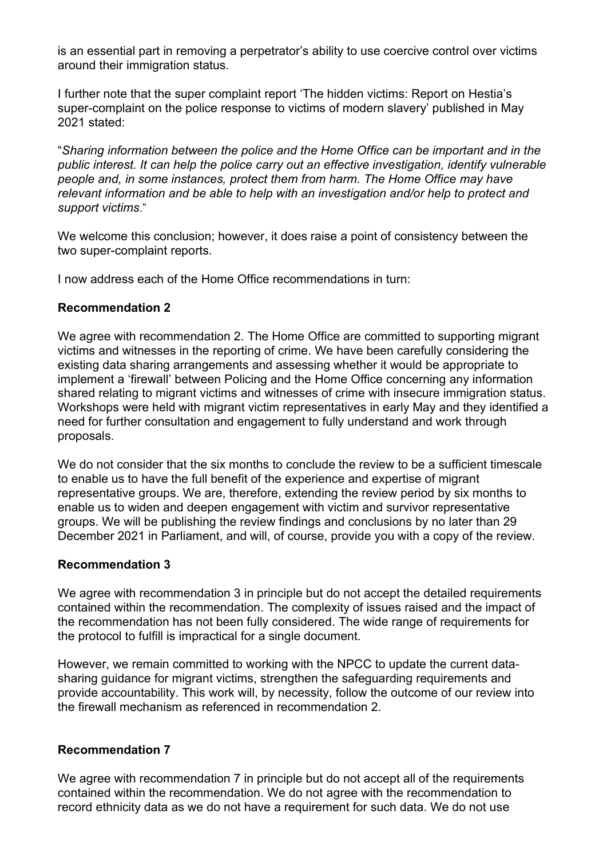is an essential part in removing a perpetrator's ability to use coercive control over victims around their immigration status.

I further note that the super complaint report 'The hidden victims: Report on Hestia's super-complaint on the police response to victims of modern slavery' published in May 2021 stated:

"*Sharing information between the police and the Home Office can be important and in the public interest. It can help the police carry out an effective investigation, identify vulnerable people and, in some instances, protect them from harm. The Home Office may have relevant information and be able to help with an investigation and/or help to protect and support victims*."

We welcome this conclusion; however, it does raise a point of consistency between the two super-complaint reports.

I now address each of the Home Office recommendations in turn:

## **Recommendation 2**

We agree with recommendation 2. The Home Office are committed to supporting migrant victims and witnesses in the reporting of crime. We have been carefully considering the existing data sharing arrangements and assessing whether it would be appropriate to implement a 'firewall' between Policing and the Home Office concerning any information shared relating to migrant victims and witnesses of crime with insecure immigration status. Workshops were held with migrant victim representatives in early May and they identified a need for further consultation and engagement to fully understand and work through proposals.

We do not consider that the six months to conclude the review to be a sufficient timescale to enable us to have the full benefit of the experience and expertise of migrant representative groups. We are, therefore, extending the review period by six months to enable us to widen and deepen engagement with victim and survivor representative groups. We will be publishing the review findings and conclusions by no later than 29 December 2021 in Parliament, and will, of course, provide you with a copy of the review.

## **Recommendation 3**

We agree with recommendation 3 in principle but do not accept the detailed requirements contained within the recommendation. The complexity of issues raised and the impact of the recommendation has not been fully considered. The wide range of requirements for the protocol to fulfill is impractical for a single document.

However, we remain committed to working with the NPCC to update the current datasharing guidance for migrant victims, strengthen the safeguarding requirements and provide accountability. This work will, by necessity, follow the outcome of our review into the firewall mechanism as referenced in recommendation 2.

## **Recommendation 7**

We agree with recommendation 7 in principle but do not accept all of the requirements contained within the recommendation. We do not agree with the recommendation to record ethnicity data as we do not have a requirement for such data. We do not use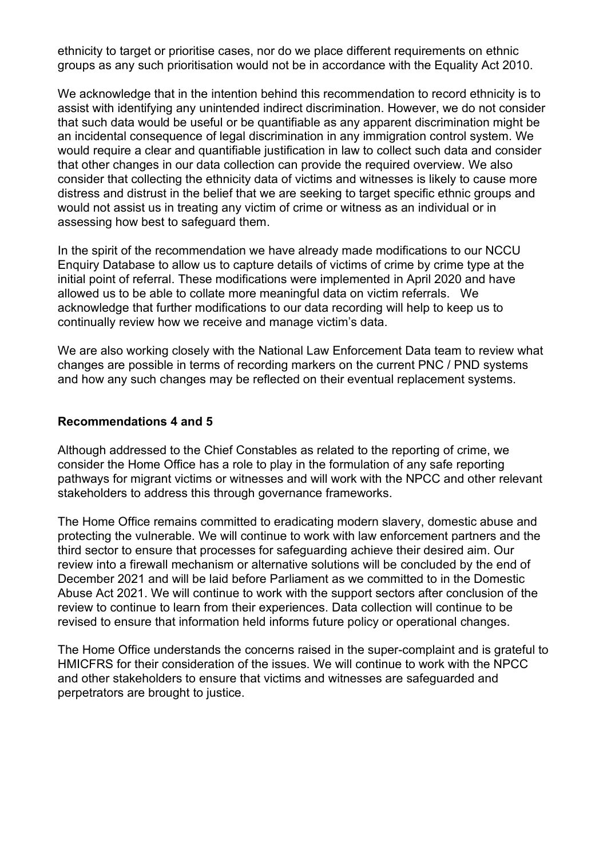ethnicity to target or prioritise cases, nor do we place different requirements on ethnic groups as any such prioritisation would not be in accordance with the Equality Act 2010.

We acknowledge that in the intention behind this recommendation to record ethnicity is to assist with identifying any unintended indirect discrimination. However, we do not consider that such data would be useful or be quantifiable as any apparent discrimination might be an incidental consequence of legal discrimination in any immigration control system. We would require a clear and quantifiable justification in law to collect such data and consider that other changes in our data collection can provide the required overview. We also consider that collecting the ethnicity data of victims and witnesses is likely to cause more distress and distrust in the belief that we are seeking to target specific ethnic groups and would not assist us in treating any victim of crime or witness as an individual or in assessing how best to safeguard them.

In the spirit of the recommendation we have already made modifications to our NCCU Enquiry Database to allow us to capture details of victims of crime by crime type at the initial point of referral. These modifications were implemented in April 2020 and have allowed us to be able to collate more meaningful data on victim referrals. We acknowledge that further modifications to our data recording will help to keep us to continually review how we receive and manage victim's data.

We are also working closely with the National Law Enforcement Data team to review what changes are possible in terms of recording markers on the current PNC / PND systems and how any such changes may be reflected on their eventual replacement systems.

### **Recommendations 4 and 5**

Although addressed to the Chief Constables as related to the reporting of crime, we consider the Home Office has a role to play in the formulation of any safe reporting pathways for migrant victims or witnesses and will work with the NPCC and other relevant stakeholders to address this through governance frameworks.

The Home Office remains committed to eradicating modern slavery, domestic abuse and protecting the vulnerable. We will continue to work with law enforcement partners and the third sector to ensure that processes for safeguarding achieve their desired aim. Our review into a firewall mechanism or alternative solutions will be concluded by the end of December 2021 and will be laid before Parliament as we committed to in the Domestic Abuse Act 2021. We will continue to work with the support sectors after conclusion of the review to continue to learn from their experiences. Data collection will continue to be revised to ensure that information held informs future policy or operational changes.

The Home Office understands the concerns raised in the super-complaint and is grateful to HMICFRS for their consideration of the issues. We will continue to work with the NPCC and other stakeholders to ensure that victims and witnesses are safeguarded and perpetrators are brought to justice.